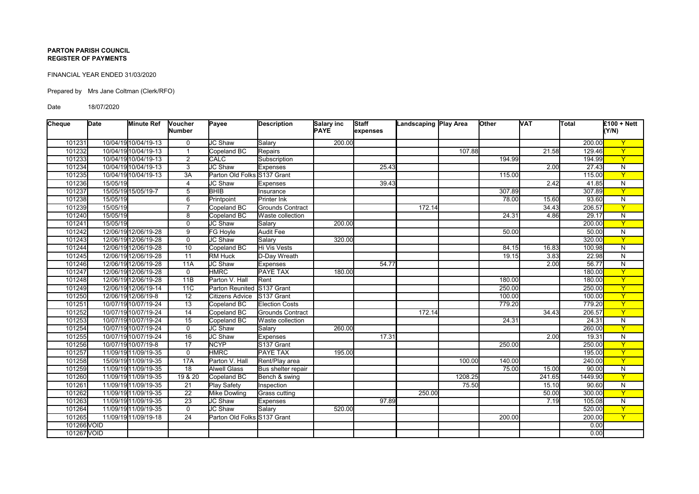## **PARTON PARISH COUNCIL REGISTER OF PAYMENTS**

## FINANCIAL YEAR ENDED 31/03/2020

Prepared by Mrs Jane Coltman (Clerk/RFO)

Date 18/07/2020

| Cheque      | Date     | <b>Minute Ref</b>    | Voucher<br><b>Number</b> | Payee                       | <b>Description</b>     | Salary inc<br><b>PAYE</b> | Staff<br>expenses | Landscaping Play Area |         | <b>Other</b> | <b>VAT</b> | Total   | $E100 + Nett$<br>(Y/N)  |
|-------------|----------|----------------------|--------------------------|-----------------------------|------------------------|---------------------------|-------------------|-----------------------|---------|--------------|------------|---------|-------------------------|
|             |          |                      |                          |                             |                        |                           |                   |                       |         |              |            |         |                         |
| 101231      |          | 10/04/19 10/04/19-13 | $\mathbf 0$              | JC Shaw                     | Salary                 | 200.00                    |                   |                       |         |              |            | 200.00  | $\overline{Y}$          |
| 101232      |          | 10/04/19 10/04/19-13 | $\overline{1}$           | Copeland BC                 | Repairs                |                           |                   |                       | 107.88  |              | 21.58      | 129.46  | $\overline{Y}$          |
| 101233      |          | 10/04/19 10/04/19-13 | $\overline{2}$           | <b>CALC</b>                 | Subscription           |                           |                   |                       |         | 194.99       |            | 194.99  | $\mathbf{Y}$            |
| 101234      |          | 10/04/19 10/04/19-13 | 3                        | <b>JC Shaw</b>              | <b>Expenses</b>        |                           | 25.43             |                       |         |              | 2.00       | 27.43   | N                       |
| 101235      |          | 10/04/19 10/04/19-13 | $\overline{3A}$          | Parton Old Folks S137 Grant |                        |                           |                   |                       |         | 115.00       |            | 115.00  | $\overline{Y}$          |
| 101236      | 15/05/19 |                      | $\overline{4}$           | JC Shaw                     | <b>Expenses</b>        |                           | 39.43             |                       |         |              | 2.42       | 41.85   | $\overline{N}$          |
| 101237      |          | 15/05/19 15/05/19-7  | 5                        | <b>BHIB</b>                 | Insurance              |                           |                   |                       |         | 307.89       |            | 307.89  | $\overline{Y}$          |
| 101238      | 15/05/19 |                      | 6                        | Printpoint                  | <b>Printer Ink</b>     |                           |                   |                       |         | 78.00        | 15.60      | 93.60   | $\overline{N}$          |
| 101239      | 15/05/19 |                      | $\overline{7}$           | Copeland BC                 | Grounds Contract       |                           |                   | 172.14                |         |              | 34.43      | 206.57  | $\overline{Y}$          |
| 101240      | 15/05/19 |                      | 8                        | Copeland BC                 | Waste collection       |                           |                   |                       |         | 24.31        | 4.86       | 29.17   | $\overline{N}$          |
| 101241      | 15/05/19 |                      | $\mathbf 0$              | <b>JC Shaw</b>              | Salary                 | 200.00                    |                   |                       |         |              |            | 200.00  | $\overline{Y}$          |
| 101242      |          | 12/06/19 12/06/19-28 | 9                        | FG Hoyle                    | <b>Audit Fee</b>       |                           |                   |                       |         | 50.00        |            | 50.00   | ${\sf N}$               |
| 101243      |          | 12/06/19 12/06/19-28 | $\mathbf 0$              | <b>JC Shaw</b>              | Salary                 | 320.00                    |                   |                       |         |              |            | 320.00  | $\overline{Y}$          |
| 101244      |          | 12/06/19 12/06/19-28 | 10                       | Copeland BC                 | Hi Vis Vests           |                           |                   |                       |         | 84.15        | 16.83      | 100.98  | $\overline{N}$          |
| 101245      |          | 12/06/19 12/06/19-28 | 11                       | <b>RM Huck</b>              | D-Day Wreath           |                           |                   |                       |         | 19.15        | 3.83       | 22.98   | $\overline{N}$          |
| 101246      |          | 12/06/19 12/06/19-28 | 11A                      | JC Shaw                     | <b>Expenses</b>        |                           | 54.77             |                       |         |              | 2.00       | 56.77   | $\overline{N}$          |
| 101247      |          | 12/06/19 12/06/19-28 | $\mathbf 0$              | <b>HMRC</b>                 | <b>PAYE TAX</b>        | 180.00                    |                   |                       |         |              |            | 180.00  | $\overline{Y}$          |
| 101248      |          | 12/06/19 12/06/19-28 | 11B                      | Parton V. Hall              | Rent                   |                           |                   |                       |         | 180.00       |            | 180.00  | $\overline{Y}$          |
| 101249      |          | 12/06/19 12/06/19-14 | 11C                      | Parton Reunited             | S137 Grant             |                           |                   |                       |         | 250.00       |            | 250.00  | $\overline{Y}$          |
| 101250      |          | 12/06/19 12/06/19-8  | $\overline{12}$          | <b>Citizens Advice</b>      | S <sub>137</sub> Grant |                           |                   |                       |         | 100.00       |            | 100.00  | $\overline{Y}$          |
| 101251      |          | 10/07/19 10/07/19-24 | 13                       | Copeland BC                 | <b>Election Costs</b>  |                           |                   |                       |         | 779.20       |            | 779.20  | $\overline{Y}$          |
| 101252      |          | 10/07/19 10/07/19-24 | 14                       | Copeland BC                 | Grounds Contract       |                           |                   | 172.14                |         |              | 34.43      | 206.57  | $\overline{Y}$          |
| 101253      |          | 10/07/19 10/07/19-24 | 15                       | Copeland BC                 | Waste collection       |                           |                   |                       |         | 24.31        |            | 24.31   | $\overline{N}$          |
| 101254      |          | 10/07/19 10/07/19-24 | $\mathbf 0$              | JC Shaw                     | Salary                 | 260.00                    |                   |                       |         |              |            | 260.00  | $\overline{Y}$          |
| 101255      |          | 10/07/19 10/07/19-24 | $\overline{16}$          | JC Shaw                     | <b>Expenses</b>        |                           | 17.31             |                       |         |              | 2.00       | 19.31   | $\overline{N}$          |
| 101256      |          | 10/07/19 10/07/19-8  | $\overline{17}$          | <b>NCYP</b>                 | S137 Grant             |                           |                   |                       |         | 250.00       |            | 250.00  | $\overline{Y}$          |
| 101257      |          | 11/09/19 11/09/19-35 | $\mathbf 0$              | <b>HMRC</b>                 | <b>PAYE TAX</b>        | 195.00                    |                   |                       |         |              |            | 195.00  | $\overline{Y}$          |
| 101258      |          | 15/09/19 11/09/19-35 | 17A                      | Parton V. Hall              | Rent/Play area         |                           |                   |                       | 100.00  | 140.00       |            | 240.00  | $\overline{Y}$          |
| 101259      |          | 11/09/19 11/09/19-35 | $\overline{18}$          | <b>Alwell Glass</b>         | Bus shelter repair     |                           |                   |                       |         | 75.00        | 15.00      | 90.00   | $\overline{N}$          |
| 101260      |          | 11/09/19 11/09/19-35 | 19 & 20                  | Copeland BC                 | Bench & swing          |                           |                   |                       | 1208.25 |              | 241.65     | 1449.90 | $\overline{Y}$          |
| 101261      |          | 11/09/19 11/09/19-35 | 21                       | <b>Play Safety</b>          | Inspection             |                           |                   |                       | 75.50   |              | 15.10      | 90.60   | N                       |
| 101262      |          | 11/09/19 11/09/19-35 | $\overline{22}$          | <b>Mike Dowling</b>         | Grass cutting          |                           |                   | 250.00                |         |              | 50.00      | 300.00  | $\overline{Y}$          |
| 101263      |          | 11/09/19 11/09/19-35 | $\overline{23}$          | JC Shaw                     | Expenses               |                           | 97.89             |                       |         |              | 7.19       | 105.08  | $\overline{N}$          |
| 101264      |          | 11/09/19 11/09/19-35 | $\mathbf 0$              | JC Shaw                     | Salary                 | 520.00                    |                   |                       |         |              |            | 520.00  | $\overline{\mathsf{Y}}$ |
| 101265      |          | 11/09/19 11/09/19-18 | 24                       | Parton Old Folks S137 Grant |                        |                           |                   |                       |         | 200.00       |            | 200.00  | $\overline{Y}$          |
| 101266 VOID |          |                      |                          |                             |                        |                           |                   |                       |         |              |            | 0.00    |                         |
| 101267 VOID |          |                      |                          |                             |                        |                           |                   |                       |         |              |            | 0.00    |                         |